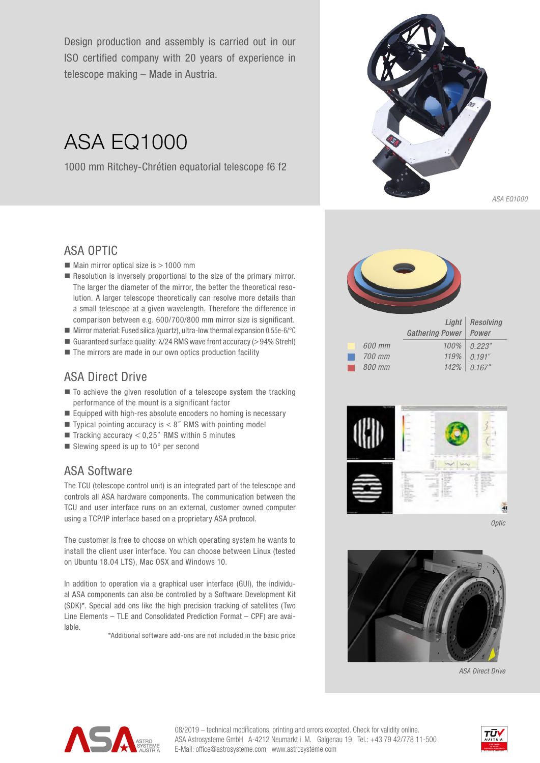Design production and assembly is carried out in our ISO certified company with 20 years of experience in telescope making – Made in Austria.

# ASA EQ1000

1000 mm Ritchey-Chrétien equatorial telescope f6 f2



## ASA OPTIC

- $\blacksquare$  Main mirror optical size is  $> 1000$  mm
- $\blacksquare$  Resolution is inversely proportional to the size of the primary mirror. The larger the diameter of the mirror, the better the theoretical resolution. A larger telescope theoretically can resolve more details than a small telescope at a given wavelength. Therefore the difference in comparison between e.g. 600/700/800 mm mirror size is significant.
- **Mirror material: Fused silica (quartz), ultra-low thermal expansion 0.55e-6/°C**
- Guaranteed surface quality:  $\lambda$ /24 RMS wave front accuracy (>94% Strehl)
- The mirrors are made in our own optics production facility

# ASA Direct Drive

- $\blacksquare$  To achieve the given resolution of a telescope system the tracking performance of the mount is a significant factor
- $\blacksquare$  Equipped with high-res absolute encoders no homing is necessary
- **Typical pointing accuracy is**  $< 8$ **" RMS with pointing model**
- $\blacksquare$  Tracking accuracy < 0,25" RMS within 5 minutes
- Slewing speed is up to 10° per second

# ASA Software

The TCU (telescope control unit) is an integrated part of the telescope and controls all ASA hardware components. The communication between the TCU and user interface runs on an external, customer owned computer using a TCP/IP interface based on a proprietary ASA protocol.

The customer is free to choose on which operating system he wants to install the client user interface. You can choose between Linux (tested on Ubuntu 18.04 LTS), Mac OSX and Windows 10.

In addition to operation via a graphical user interface (GUI), the individual ASA components can also be controlled by a Software Development Kit (SDK)\*. Special add ons like the high precision tracking of satellites (Two Line Elements – TLE and Consolidated Prediction Format – CPF) are available.

\*Additional software add-ons are not included in the basic price





*Optic*



*ASA Direct Drive*